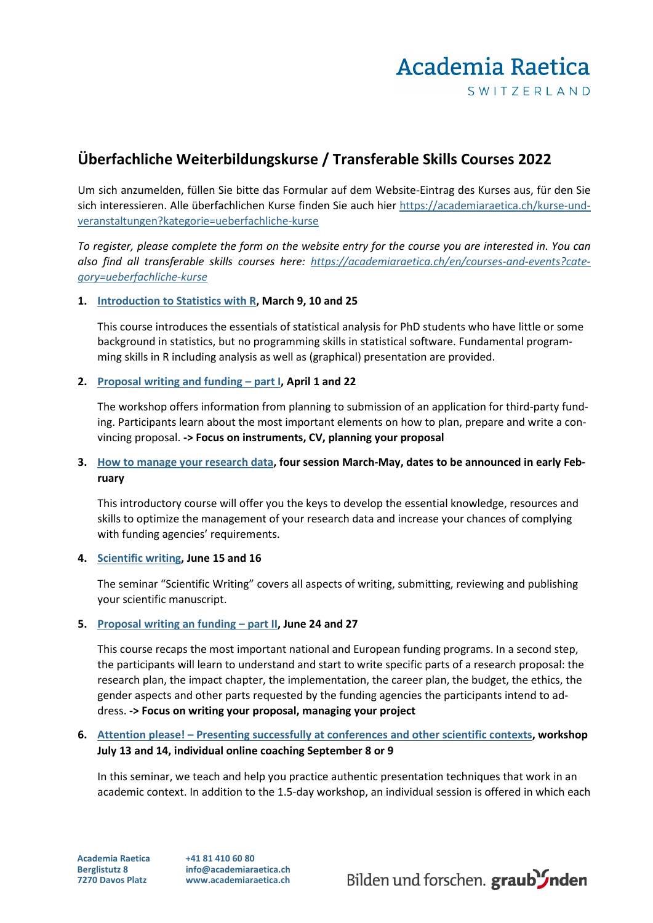# Academia Raetica SWITZERLAND

# **Überfachliche Weiterbildungskurse / Transferable Skills Courses 2022**

Um sich anzumelden, füllen Sie bitte das Formular auf dem Website-Eintrag des Kurses aus, für den Sie sich interessieren. Alle überfachlichen Kurse finden Sie auch hier [https://academiaraetica.ch/kurse-und](https://academiaraetica.ch/kurse-und-veranstaltungen?kategorie=ueberfachliche-kurse)[veranstaltungen?kategorie=ueberfachliche-kurse](https://academiaraetica.ch/kurse-und-veranstaltungen?kategorie=ueberfachliche-kurse)

*To register, please complete the form on the website entry for the course you are interested in. You can also find all transferable skills courses here: [https://academiaraetica.ch/en/courses-and-events?cate](https://academiaraetica.ch/en/courses-and-events?category=ueberfachliche-kurse)[gory=ueberfachliche-kurse](https://academiaraetica.ch/en/courses-and-events?category=ueberfachliche-kurse)*

### **1. [Introduction to Statistics with R,](https://academiaraetica.ch/kurse-und-veranstaltungen/introduction-to-statistics-with-r) March 9, 10 and 25**

This course introduces the essentials of statistical analysis for PhD students who have little or some background in statistics, but no programming skills in statistical software. Fundamental programming skills in R including analysis as well as (graphical) presentation are provided.

### **2. [Proposal writing and funding –](https://academiaraetica.ch/kurse-und-veranstaltungen/proposal-writing-and-funding-part-i) part I, April 1 and 22**

The workshop offers information from planning to submission of an application for third-party funding. Participants learn about the most important elements on how to plan, prepare and write a convincing proposal. **-> Focus on instruments, CV, planning your proposal**

## **3. [How to manage your research data,](https://academiaraetica.ch/kurse-und-veranstaltungen/how-to-manage-your-research-data) four session March-May, dates to be announced in early February**

This introductory course will offer you the keys to develop the essential knowledge, resources and skills to optimize the management of your research data and increase your chances of complying with funding agencies' requirements.

#### **4. [Scientific writing,](https://academiaraetica.ch/kurse-und-veranstaltungen/scientific-writing_2022) June 15 and 16**

The seminar "Scientific Writing" covers all aspects of writing, submitting, reviewing and publishing your scientific manuscript.

#### **5. [Proposal writing an funding –](https://academiaraetica.ch/kurse-und-veranstaltungen/proposal-writing-and-funding-part-ii) part II, June 24 and 27**

This course recaps the most important national and European funding programs. In a second step, the participants will learn to understand and start to write specific parts of a research proposal: the research plan, the impact chapter, the implementation, the career plan, the budget, the ethics, the gender aspects and other parts requested by the funding agencies the participants intend to address. **-> Focus on writing your proposal, managing your project**

# **6. Attention please! – [Presenting successfully at conferences and other scientific contexts,](https://academiaraetica.ch/kurse-und-veranstaltungen/attention-please) workshop July 13 and 14, individual online coaching September 8 or 9**

In this seminar, we teach and help you practice authentic presentation techniques that work in an academic context. In addition to the 1.5-day workshop, an individual session is offered in which each

**Academia Raetica Berglistutz 8 7270 Davos Platz**

**+41 81 410 60 80 info@academiaraetica.ch www.academiaraetica.ch**